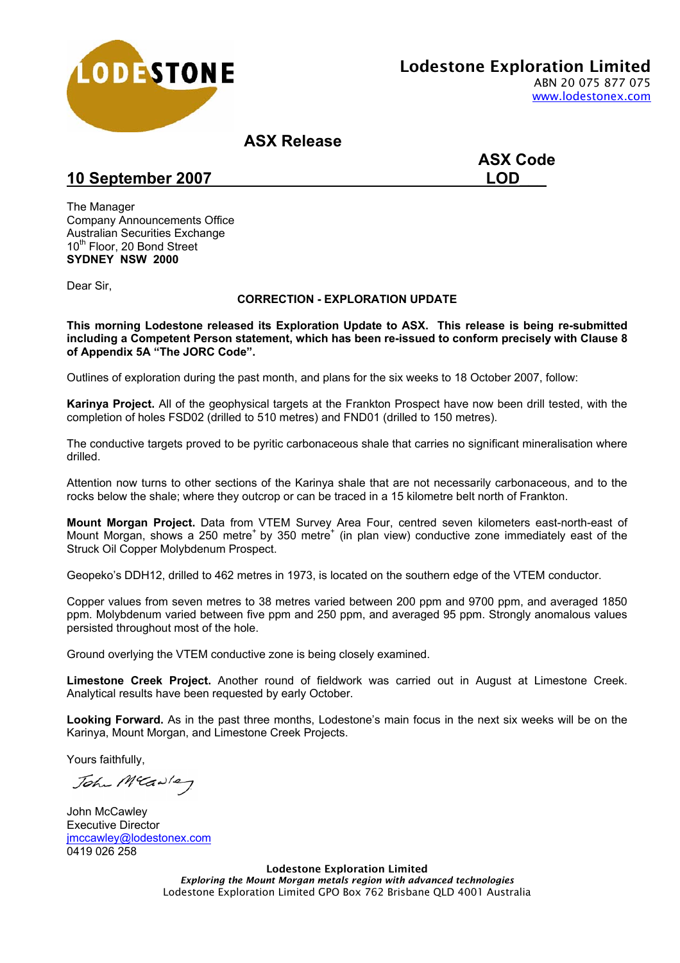

**ASX Release** 

**ASX Code** 

## 10 September 2007 **LOD**

The Manager Company Announcements Office Australian Securities Exchange 10<sup>th</sup> Floor, 20 Bond Street **SYDNEY NSW 2000** 

Dear Sir,

## **CORRECTION - EXPLORATION UPDATE**

**This morning Lodestone released its Exploration Update to ASX. This release is being re-submitted including a Competent Person statement, which has been re-issued to conform precisely with Clause 8 of Appendix 5A "The JORC Code".** 

Outlines of exploration during the past month, and plans for the six weeks to 18 October 2007, follow:

**Karinya Project.** All of the geophysical targets at the Frankton Prospect have now been drill tested, with the completion of holes FSD02 (drilled to 510 metres) and FND01 (drilled to 150 metres).

The conductive targets proved to be pyritic carbonaceous shale that carries no significant mineralisation where drilled.

Attention now turns to other sections of the Karinya shale that are not necessarily carbonaceous, and to the rocks below the shale; where they outcrop or can be traced in a 15 kilometre belt north of Frankton.

**Mount Morgan Project.** Data from VTEM Survey Area Four, centred seven kilometers east-north-east of Mount Morgan, shows a 250 metre<sup>+</sup> by 350 metre<sup>+</sup> (in plan view) conductive zone immediately east of the Struck Oil Copper Molybdenum Prospect.

Geopeko's DDH12, drilled to 462 metres in 1973, is located on the southern edge of the VTEM conductor.

Copper values from seven metres to 38 metres varied between 200 ppm and 9700 ppm, and averaged 1850 ppm. Molybdenum varied between five ppm and 250 ppm, and averaged 95 ppm. Strongly anomalous values persisted throughout most of the hole.

Ground overlying the VTEM conductive zone is being closely examined.

**Limestone Creek Project.** Another round of fieldwork was carried out in August at Limestone Creek. Analytical results have been requested by early October.

**Looking Forward.** As in the past three months, Lodestone's main focus in the next six weeks will be on the Karinya, Mount Morgan, and Limestone Creek Projects.

Yours faithfully,

John MCawley

John McCawley Executive Director jmccawley@lodestonex.com 0419 026 258

> Lodestone Exploration Limited *Exploring the Mount Morgan metals region with advanced technologies*  Lodestone Exploration Limited GPO Box 762 Brisbane QLD 4001 Australia